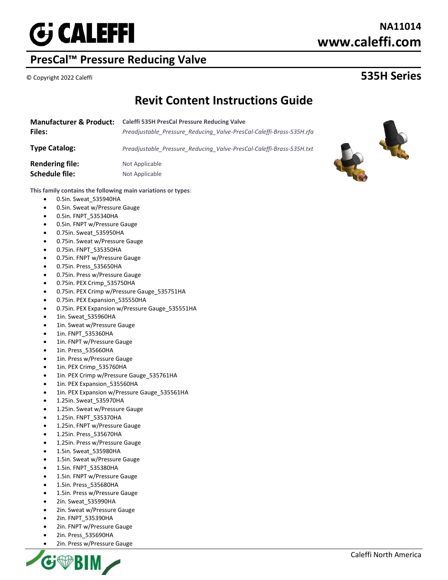

# **PresCal™ Pressure Reducing Valve**

# **NA11014 www.caleffi.com**

# © Copyright 2022 Caleffi **535H Series**

# **Revit Content Instructions Guide**

| <b>Manufacturer &amp; Product:</b> | <b>Caleffi 535H PresCal Pressure Reducing Valve</b>                  |
|------------------------------------|----------------------------------------------------------------------|
| <b>Files:</b>                      | Preadjustable Pressure Reducing Valve-PresCal-Caleffi-Brass-535H.rfa |
| Type Catalog:                      | Preadjustable Pressure Reducing Valve-PresCal-Caleffi-Brass-535H.txt |



#### **This family contains the following main variations or types**:

- 0.5in. Sweat\_535940HA
- 0.5in. Sweat w/Pressure Gauge
- 0.5in. FNPT\_535340HA
- 0.5in. FNPT w/Pressure Gauge
- 0.75in. Sweat\_535950HA
- 0.75in. Sweat w/Pressure Gauge
- 0.75in. FNPT\_535350HA
- 0.75in. FNPT w/Pressure Gauge
- 0.75in. Press\_535650HA
- 0.75in. Press w/Pressure Gauge
- 0.75in. PEX Crimp\_535750HA
- 0.75in. PEX Crimp w/Pressure Gauge\_535751HA
- 0.75in. PEX Expansion 535550HA
- 0.75in. PEX Expansion w/Pressure Gauge\_535551HA
- 1in. Sweat\_535960HA
- 1in. Sweat w/Pressure Gauge
- 1in. FNPT\_535360HA
- 1in. FNPT w/Pressure Gauge
- 1in. Press\_535660HA
- 1in. Press w/Pressure Gauge
- 1in. PEX Crimp\_535760HA
- 1in. PEX Crimp w/Pressure Gauge 535761HA
- 1in. PEX Expansion 535560HA
- 1in. PEX Expansion w/Pressure Gauge 535561HA
- 1.25in. Sweat\_535970HA
- 1.25in. Sweat w/Pressure Gauge
- 1.25in. FNPT\_535370HA
- 1.25in. FNPT w/Pressure Gauge
- 1.25in. Press\_535670HA
- 1.25in. Press w/Pressure Gauge
- 1.5in. Sweat\_535980HA
- 1.5in. Sweat w/Pressure Gauge
- 1.5in. FNPT\_535380HA
- 1.5in. FNPT w/Pressure Gauge
- 1.5in. Press\_535680HA
- 1.5in. Press w/Pressure Gauge
- 2in. Sweat\_535990HA
- 2in. Sweat w/Pressure Gauge
- 2in. FNPT\_535390HA
- 2in. FNPT w/Pressure Gauge
- 2in. Press\_535690HA
- 2in. Press w/Pressure Gauge

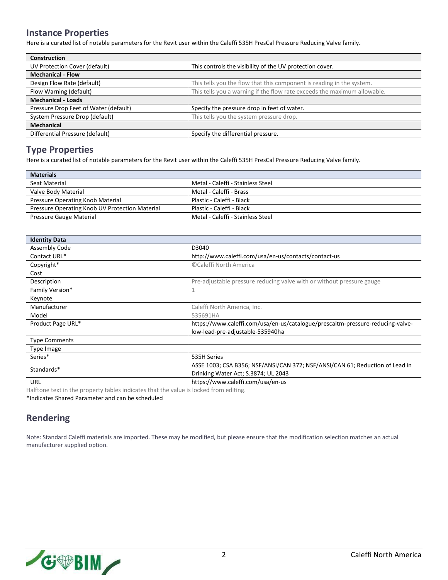#### **Instance Properties**

Here is a curated list of notable parameters for the Revit user within the Caleffi 535H PresCal Pressure Reducing Valve family.

| <b>Construction</b>                   |                                                                          |  |
|---------------------------------------|--------------------------------------------------------------------------|--|
| UV Protection Cover (default)         | This controls the visibility of the UV protection cover.                 |  |
| <b>Mechanical - Flow</b>              |                                                                          |  |
| Design Flow Rate (default)            | This tells you the flow that this component is reading in the system.    |  |
| Flow Warning (default)                | This tells you a warning if the flow rate exceeds the maximum allowable. |  |
| <b>Mechanical - Loads</b>             |                                                                          |  |
| Pressure Drop Feet of Water (default) | Specify the pressure drop in feet of water.                              |  |
| System Pressure Drop (default)        | This tells you the system pressure drop.                                 |  |
| <b>Mechanical</b>                     |                                                                          |  |
| Differential Pressure (default)       | Specify the differential pressure.                                       |  |

### **Type Properties**

Here is a curated list of notable parameters for the Revit user within the Caleffi 535H PresCal Pressure Reducing Valve family.

| <b>Materials</b>                               |                                   |  |
|------------------------------------------------|-----------------------------------|--|
| Seat Material                                  | Metal - Caleffi - Stainless Steel |  |
| Valve Body Material                            | Metal - Caleffi - Brass           |  |
| <b>Pressure Operating Knob Material</b>        | Plastic - Caleffi - Black         |  |
| Pressure Operating Knob UV Protection Material | Plastic - Caleffi - Black         |  |
| Pressure Gauge Material                        | Metal - Caleffi - Stainless Steel |  |

| <b>Identity Data</b>                                                                                                                                                                                                           |                                                                                |
|--------------------------------------------------------------------------------------------------------------------------------------------------------------------------------------------------------------------------------|--------------------------------------------------------------------------------|
| Assembly Code                                                                                                                                                                                                                  | D3040                                                                          |
| Contact URL*                                                                                                                                                                                                                   | http://www.caleffi.com/usa/en-us/contacts/contact-us                           |
| Copyright*                                                                                                                                                                                                                     | ©Caleffi North America                                                         |
| Cost                                                                                                                                                                                                                           |                                                                                |
| Description                                                                                                                                                                                                                    | Pre-adjustable pressure reducing valve with or without pressure gauge          |
| Family Version*                                                                                                                                                                                                                |                                                                                |
| Keynote                                                                                                                                                                                                                        |                                                                                |
| Manufacturer                                                                                                                                                                                                                   | Caleffi North America, Inc.                                                    |
| Model                                                                                                                                                                                                                          | 535691HA                                                                       |
| Product Page URL*                                                                                                                                                                                                              | https://www.caleffi.com/usa/en-us/catalogue/prescaltm-pressure-reducing-valve- |
|                                                                                                                                                                                                                                | low-lead-pre-adjustable-535940ha                                               |
| <b>Type Comments</b>                                                                                                                                                                                                           |                                                                                |
| Type Image                                                                                                                                                                                                                     |                                                                                |
| Series*                                                                                                                                                                                                                        | 535H Series                                                                    |
| Standards*                                                                                                                                                                                                                     | ASSE 1003; CSA B356; NSF/ANSI/CAN 372; NSF/ANSI/CAN 61; Reduction of Lead in   |
|                                                                                                                                                                                                                                | Drinking Water Act; S.3874; UL 2043                                            |
| URL                                                                                                                                                                                                                            | https://www.caleffi.com/usa/en-us                                              |
| the life of the second to have a component of the state of the seconds of the second of the state of interests of the top of the top of the second state of the second state of the second state of the second state of the se |                                                                                |

Halftone text in the property tables indicates that the value is locked from editing.

\*Indicates Shared Parameter and can be scheduled

### **Rendering**

Note: Standard Caleffi materials are imported. These may be modified, but please ensure that the modification selection matches an actual manufacturer supplied option.

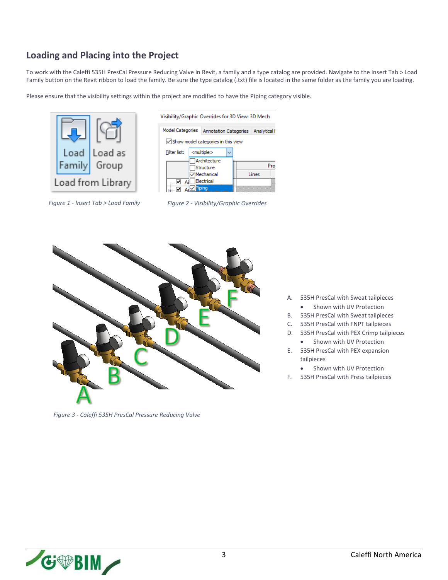### **Loading and Placing into the Project**

To work with the Caleffi 535H PresCal Pressure Reducing Valve in Revit, a family and a type catalog are provided. Navigate to the Insert Tab > Load Family button on the Revit ribbon to load the family. Be sure the type catalog (.txt) file is located in the same folder as the family you are loading.

Please ensure that the visibility settings within the project are modified to have the Piping category visible.









*Figure 3 - Caleffi 535H PresCal Pressure Reducing Valve*

- A. 535H PresCal with Sweat tailpieces
	- Shown with UV Protection
- B. 535H PresCal with Sweat tailpieces
- C. 535H PresCal with FNPT tailpieces
- D. 535H PresCal with PEX Crimp tailpieces
	- Shown with UV Protection
- E. 535H PresCal with PEX expansion tailpieces
	- Shown with UV Protection
- F. 535H PresCal with Press tailpieces